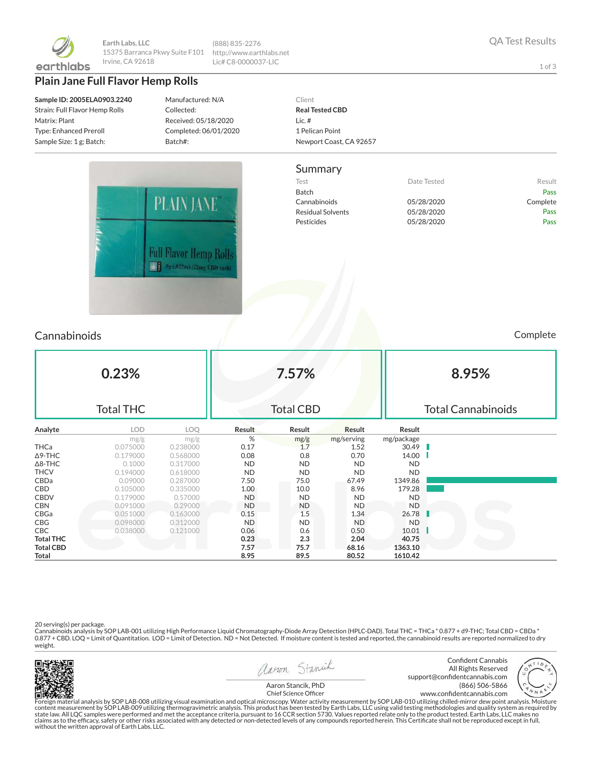

**Earth Labs, LLC** 15375 Barranca Pkwy Suite F101 Irvine, CA 92618

**Plain Jane Full Flavor Hemp Rolls**

**Sample ID: 2005ELA0903.2240** Strain: Full Flavor Hemp Rolls Matrix: Plant Type: Enhanced Preroll Sample Size: 1 g; Batch:

Manufactured: N/A Collected: Received: 05/18/2020 Completed: 06/01/2020 Batch#:

(888) 835-2276 http://www.earthlabs.net Lic# C8-0000037-LIC

#### Client **Real Tested CBD** Lic. # 1 Pelican Point Newport Coast, CA 92657

#### Summary



Test **Date Tested** Result Batch Pass Cannabinoids 05/28/2020 Complete

Residual Solvents 05/28/2020 Pass Pesticides **Pass** 05/28/2020 **Pass** 

# Cannabinoids Complete

| 0.23%<br><b>Total THC</b> |            |          | 7.57%<br><b>Total CBD</b> |           |            |            | 8.95%<br><b>Total Cannabinoids</b> |  |  |
|---------------------------|------------|----------|---------------------------|-----------|------------|------------|------------------------------------|--|--|
| Analyte                   | <b>LOD</b> | LOQ      | Result                    | Result    | Result     | Result     |                                    |  |  |
|                           | mg/g       | mg/g     | %                         | mg/g      | mg/serving | mg/package |                                    |  |  |
| THCa                      | 0.075000   | 0.238000 | 0.17                      | 1.7       | 1.52       | 30.49      |                                    |  |  |
| ∆9-THC                    | 0.179000   | 0.568000 | 0.08                      | 0.8       | 0.70       | 14.00      |                                    |  |  |
| ∆8-THC                    | 0.1000     | 0.317000 | <b>ND</b>                 | <b>ND</b> | <b>ND</b>  | <b>ND</b>  |                                    |  |  |
| THCV                      | 0.194000   | 0.618000 | <b>ND</b>                 | <b>ND</b> | <b>ND</b>  | <b>ND</b>  |                                    |  |  |
| CBDa                      | 0.09000    | 0.287000 | 7.50                      | 75.0      | 67.49      | 1349.86    |                                    |  |  |
| CBD                       | 0.105000   | 0.335000 | 1.00                      | 10.0      | 8.96       | 179.28     |                                    |  |  |
| CBDV                      | 0.179000   | 0.57000  | <b>ND</b>                 | <b>ND</b> | <b>ND</b>  | <b>ND</b>  |                                    |  |  |
| CBN                       | 0.091000   | 0.29000  | <b>ND</b>                 | <b>ND</b> | <b>ND</b>  | ND         |                                    |  |  |
| CBGa                      | 0.051000   | 0.163000 | 0.15                      | 1.5       | 1.34       | 26.78      |                                    |  |  |
| CBG                       | 0.098000   | 0.312000 | <b>ND</b>                 | <b>ND</b> | <b>ND</b>  | ND         |                                    |  |  |
| CBC                       | 0.038000   | 0.121000 | 0.06                      | 0.6       | 0.50       | 10.01      |                                    |  |  |
| Total THC                 |            |          | 0.23                      | 2.3       | 2.04       | 40.75      |                                    |  |  |
| Total CBD                 |            |          | 7.57                      | 75.7      | 68.16      | 1363.10    |                                    |  |  |
| Total                     |            |          | 8.95                      | 89.5      | 80.52      | 1610.42    |                                    |  |  |

20 serving(s) per package.<br>Cannabinoids analysis by SOP LAB-001 utilizing High Performance Liquid Chromatography-Diode Array Detection (HPLC-DAD). Total THC = THCa \* 0.877 + d9-THC; Total CBD = CBDa \*<br>0.877 + CBD. LOQ = Li weight.



aaron Stanick





Aaron Stancik, PhD

1 of 3

Foreign material analysis by SOP LAB-008 utilizing visual examination and optical microscopy. Water activity measurement by SOP LAB-010 utilizing chilled-mirror dew point analysis. Moisture<br>state law. All LQC samples were without the written approval of Earth Labs, LLC. www.confidentcannabis.com Chief Science Officer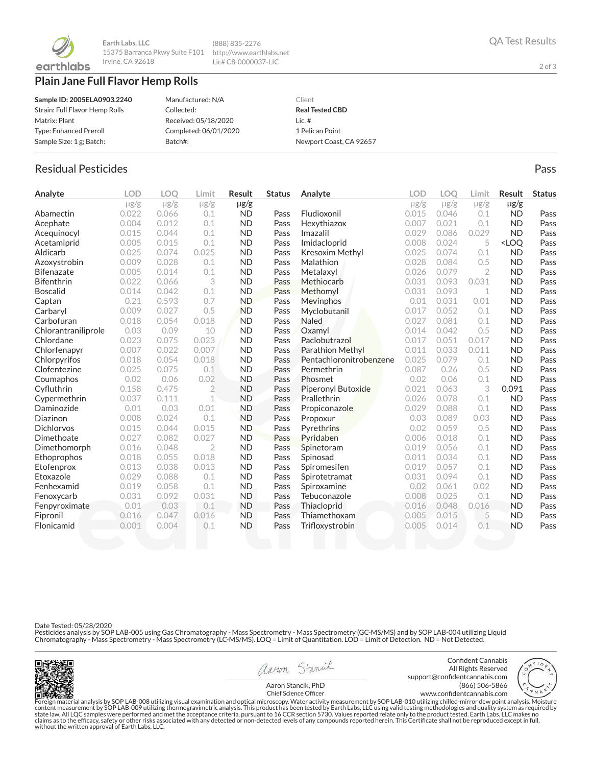

**Earth Labs, LLC** 15375 Barranca Pkwy Suite F101 http://www.earthlabs.net Irvine, CA 92618

# **Plain Jane Full Flavor Hemp Rolls**

| Sample ID: 2005ELA0903.2240    | Manufactured: N/A     | Client                  |
|--------------------------------|-----------------------|-------------------------|
| Strain: Full Flavor Hemp Rolls | Collected:            | <b>Real Tested CBD</b>  |
| Matrix: Plant                  | Received: 05/18/2020  | Lic. $#$                |
| Type: Enhanced Preroll         | Completed: 06/01/2020 | 1 Pelican Point         |
| Sample Size: 1 g; Batch:       | Batch#:               | Newport Coast, CA 92657 |

(888) 835-2276 Lic# C8-0000037-LIC

### Residual Pesticides Pass and the extensive part of the extensive part of the extensive pass and the extensive pass

| Analyte             | <b>LOD</b> | <b>LOO</b> | Limit          | <b>Result</b> | <b>Status</b> | Analyte                   | LOD       | <b>LOO</b> | Limit          | <b>Result</b>                    | <b>Status</b> |
|---------------------|------------|------------|----------------|---------------|---------------|---------------------------|-----------|------------|----------------|----------------------------------|---------------|
|                     | $\mu$ g/g  | $\mu$ g/g  | $\mu$ g/g      | $\mu$ g/g     |               |                           | $\mu$ g/g | $\mu$ g/g  | $\mu$ g/g      | $\mu$ g/g                        |               |
| Abamectin           | 0.022      | 0.066      | 0.1            | <b>ND</b>     | Pass          | Fludioxonil               | 0.015     | 0.046      | 0.1            | <b>ND</b>                        | Pass          |
| Acephate            | 0.004      | 0.012      | 0.1            | <b>ND</b>     | Pass          | Hexythiazox               | 0.007     | 0.021      | 0.1            | <b>ND</b>                        | Pass          |
| Acequinocyl         | 0.015      | 0.044      | 0.1            | <b>ND</b>     | Pass          | Imazalil                  | 0.029     | 0.086      | 0.029          | <b>ND</b>                        | Pass          |
| Acetamiprid         | 0.005      | 0.015      | 0.1            | <b>ND</b>     | Pass          | Imidacloprid              | 0.008     | 0.024      | 5              | <loo< td=""><td>Pass</td></loo<> | Pass          |
| Aldicarb            | 0.025      | 0.074      | 0.025          | <b>ND</b>     | Pass          | <b>Kresoxim Methyl</b>    | 0.025     | 0.074      | 0.1            | <b>ND</b>                        | Pass          |
| Azoxystrobin        | 0.009      | 0.028      | 0.1            | <b>ND</b>     | Pass          | Malathion                 | 0.028     | 0.084      | 0.5            | <b>ND</b>                        | Pass          |
| <b>Bifenazate</b>   | 0.005      | 0.014      | 0.1            | <b>ND</b>     | Pass          | Metalaxyl                 | 0.026     | 0.079      | $\overline{2}$ | <b>ND</b>                        | Pass          |
| <b>Bifenthrin</b>   | 0.022      | 0.066      | 3              | <b>ND</b>     | Pass          | Methiocarb                | 0.031     | 0.093      | 0.031          | <b>ND</b>                        | Pass          |
| <b>Boscalid</b>     | 0.014      | 0.042      | 0.1            | <b>ND</b>     | Pass          | Methomyl                  | 0.031     | 0.093      | 1              | <b>ND</b>                        | Pass          |
| Captan              | 0.21       | 0.593      | 0.7            | <b>ND</b>     | Pass          | Mevinphos                 | 0.01      | 0.031      | 0.01           | <b>ND</b>                        | Pass          |
| Carbaryl            | 0.009      | 0.027      | 0.5            | <b>ND</b>     | Pass          | Myclobutanil              | 0.017     | 0.052      | 0.1            | <b>ND</b>                        | Pass          |
| Carbofuran          | 0.018      | 0.054      | 0.018          | <b>ND</b>     | Pass          | <b>Naled</b>              | 0.027     | 0.081      | 0.1            | <b>ND</b>                        | Pass          |
| Chlorantraniliprole | 0.03       | 0.09       | 10             | <b>ND</b>     | Pass          | Oxamyl                    | 0.014     | 0.042      | 0.5            | <b>ND</b>                        | Pass          |
| Chlordane           | 0.023      | 0.075      | 0.023          | <b>ND</b>     | Pass          | Paclobutrazol             | 0.017     | 0.051      | 0.017          | <b>ND</b>                        | Pass          |
| Chlorfenapyr        | 0.007      | 0.022      | 0.007          | <b>ND</b>     | Pass          | <b>Parathion Methyl</b>   | 0.011     | 0.033      | 0.011          | <b>ND</b>                        | Pass          |
| Chlorpyrifos        | 0.018      | 0.054      | 0.018          | <b>ND</b>     | Pass          | Pentachloronitrobenzene   | 0.025     | 0.079      | 0.1            | <b>ND</b>                        | Pass          |
| Clofentezine        | 0.025      | 0.075      | 0.1            | <b>ND</b>     | Pass          | Permethrin                | 0.087     | 0.26       | 0.5            | <b>ND</b>                        | Pass          |
| Coumaphos           | 0.02       | 0.06       | 0.02           | <b>ND</b>     | Pass          | Phosmet                   | 0.02      | 0.06       | 0.1            | <b>ND</b>                        | Pass          |
| Cyfluthrin          | 0.158      | 0.475      | $\overline{2}$ | <b>ND</b>     | Pass          | <b>Piperonyl Butoxide</b> | 0.021     | 0.063      | 3              | 0.091                            | Pass          |
| Cypermethrin        | 0.037      | 0.111      | 1              | <b>ND</b>     | Pass          | Prallethrin               | 0.026     | 0.078      | 0.1            | <b>ND</b>                        | Pass          |
| Daminozide          | 0.01       | 0.03       | 0.01           | <b>ND</b>     | Pass          | Propiconazole             | 0.029     | 0.088      | 0.1            | <b>ND</b>                        | Pass          |
| Diazinon            | 0.008      | 0.024      | 0.1            | <b>ND</b>     | Pass          | Propoxur                  | 0.03      | 0.089      | 0.03           | <b>ND</b>                        | Pass          |
| <b>Dichlorvos</b>   | 0.015      | 0.044      | 0.015          | <b>ND</b>     | Pass          | Pyrethrins                | 0.02      | 0.059      | 0.5            | <b>ND</b>                        | Pass          |
| Dimethoate          | 0.027      | 0.082      | 0.027          | <b>ND</b>     | Pass          | Pyridaben                 | 0.006     | 0.018      | 0.1            | <b>ND</b>                        | Pass          |
| Dimethomorph        | 0.016      | 0.048      | $\overline{2}$ | <b>ND</b>     | Pass          | Spinetoram                | 0.019     | 0.056      | 0.1            | <b>ND</b>                        | Pass          |
| Ethoprophos         | 0.018      | 0.055      | 0.018          | <b>ND</b>     | Pass          | Spinosad                  | 0.011     | 0.034      | 0.1            | <b>ND</b>                        | Pass          |
| Etofenprox          | 0.013      | 0.038      | 0.013          | <b>ND</b>     | Pass          | Spiromesifen              | 0.019     | 0.057      | 0.1            | <b>ND</b>                        | Pass          |
| Etoxazole           | 0.029      | 0.088      | 0.1            | <b>ND</b>     | Pass          | Spirotetramat             | 0.031     | 0.094      | 0.1            | <b>ND</b>                        | Pass          |
| Fenhexamid          | 0.019      | 0.058      | 0.1            | <b>ND</b>     | Pass          | Spiroxamine               | 0.02      | 0.061      | 0.02           | <b>ND</b>                        | Pass          |
| Fenoxycarb          | 0.031      | 0.092      | 0.031          | <b>ND</b>     | Pass          | Tebuconazole              | 0.008     | 0.025      | 0.1            | <b>ND</b>                        | Pass          |
| Fenpyroximate       | 0.01       | 0.03       | 0.1            | <b>ND</b>     | Pass          | Thiacloprid               | 0.016     | 0.048      | 0.016          | <b>ND</b>                        | Pass          |
| Fipronil            | 0.016      | 0.047      | 0.016          | <b>ND</b>     | Pass          | Thiamethoxam              | 0.005     | 0.015      | 5              | <b>ND</b>                        | Pass          |
| Flonicamid          | 0.001      | 0.004      | 0.1            | <b>ND</b>     | Pass          | Trifloxystrobin           | 0.005     | 0.014      | 0.1            | <b>ND</b>                        | Pass          |
|                     |            |            |                |               |               |                           |           |            |                |                                  |               |

Date Tested: 05/28/2020

Pesticides analysis by SOP LAB-005 using Gas Chromatography - Mass Spectrometry - Mass Spectrometry (GC-MS/MS) and by SOP LAB-004 utilizing Liquid<br>Chromatography - Mass Spectrometry - Mass Spectrometry (LC-MS/MS). LOQ = Li



aaron Stanick

Confident Cannabis All Rights Reserved support@confidentcannabis.com (866) 506-5866 www.confidentcannabis.com



Aaron Stancik, PhD Chief Science Officer

Foreign material analysis by SOP LAB-008 utilizing visual examination and optical microscopy. Water activity measurement by SOP LAB-010 utilizing chilled-mirror dew point analysis. Moisture<br>state law. All LQC samples were without the written approval of Earth Labs, LLC.

2 of 3